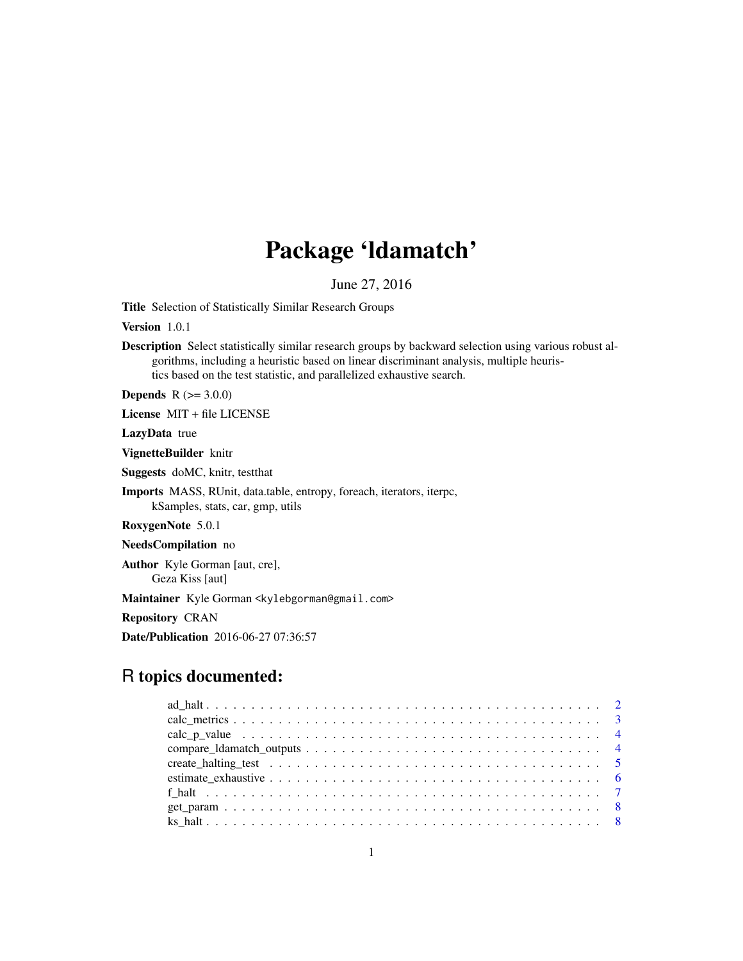## Package 'ldamatch'

June 27, 2016

Title Selection of Statistically Similar Research Groups

Version 1.0.1

Description Select statistically similar research groups by backward selection using various robust algorithms, including a heuristic based on linear discriminant analysis, multiple heuristics based on the test statistic, and parallelized exhaustive search.

**Depends**  $R (= 3.0.0)$ 

License MIT + file LICENSE

LazyData true

VignetteBuilder knitr

Suggests doMC, knitr, testthat

Imports MASS, RUnit, data.table, entropy, foreach, iterators, iterpc, kSamples, stats, car, gmp, utils

RoxygenNote 5.0.1

NeedsCompilation no

Author Kyle Gorman [aut, cre], Geza Kiss [aut]

Maintainer Kyle Gorman <kylebgorman@gmail.com>

Repository CRAN

Date/Publication 2016-06-27 07:36:57

## R topics documented: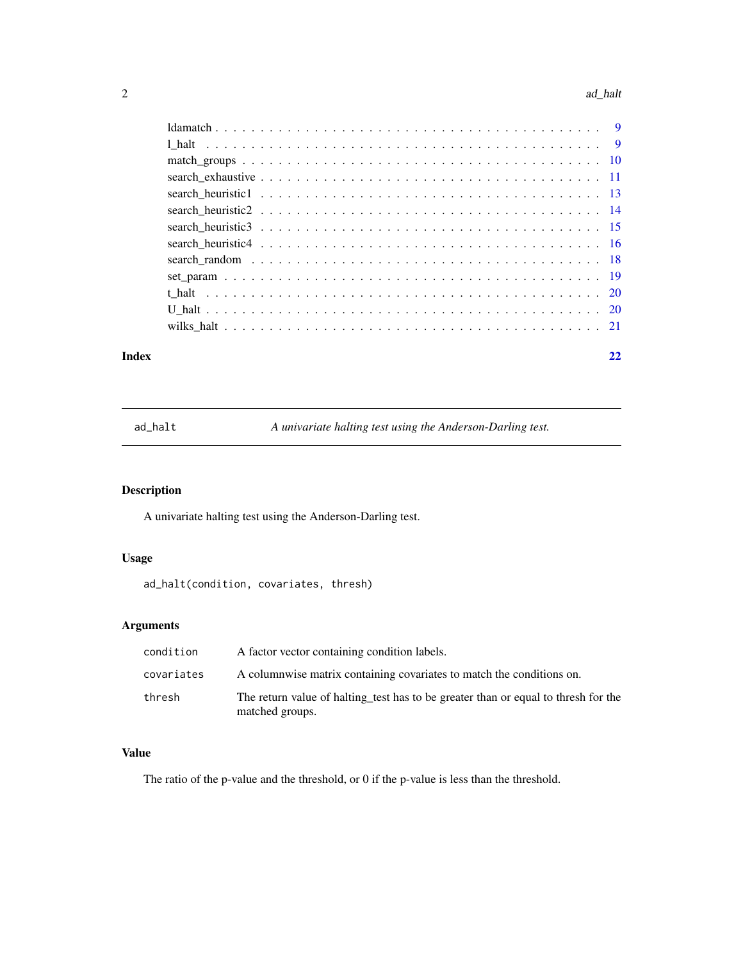#### <span id="page-1-0"></span>2 ad\_halt and  $\alpha$  and  $\alpha$  and  $\alpha$  and  $\alpha$  and  $\alpha$  and  $\alpha$  and  $\alpha$  and  $\alpha$  and  $\alpha$  and  $\alpha$  and  $\alpha$  and  $\alpha$  and  $\alpha$  and  $\alpha$  and  $\alpha$  and  $\alpha$  and  $\alpha$  and  $\alpha$  and  $\alpha$  and  $\alpha$  and  $\alpha$  and  $\alpha$  and  $\alpha$  and

#### **Index** [22](#page-21-0)

<span id="page-1-1"></span>ad\_halt *A univariate halting test using the Anderson-Darling test.*

## Description

A univariate halting test using the Anderson-Darling test.

## Usage

ad\_halt(condition, covariates, thresh)

## Arguments

| condition  | A factor vector containing condition labels.                                                          |
|------------|-------------------------------------------------------------------------------------------------------|
| covariates | A columnwise matrix containing covariates to match the conditions on.                                 |
| thresh     | The return value of halting test has to be greater than or equal to thresh for the<br>matched groups. |

#### Value

The ratio of the p-value and the threshold, or 0 if the p-value is less than the threshold.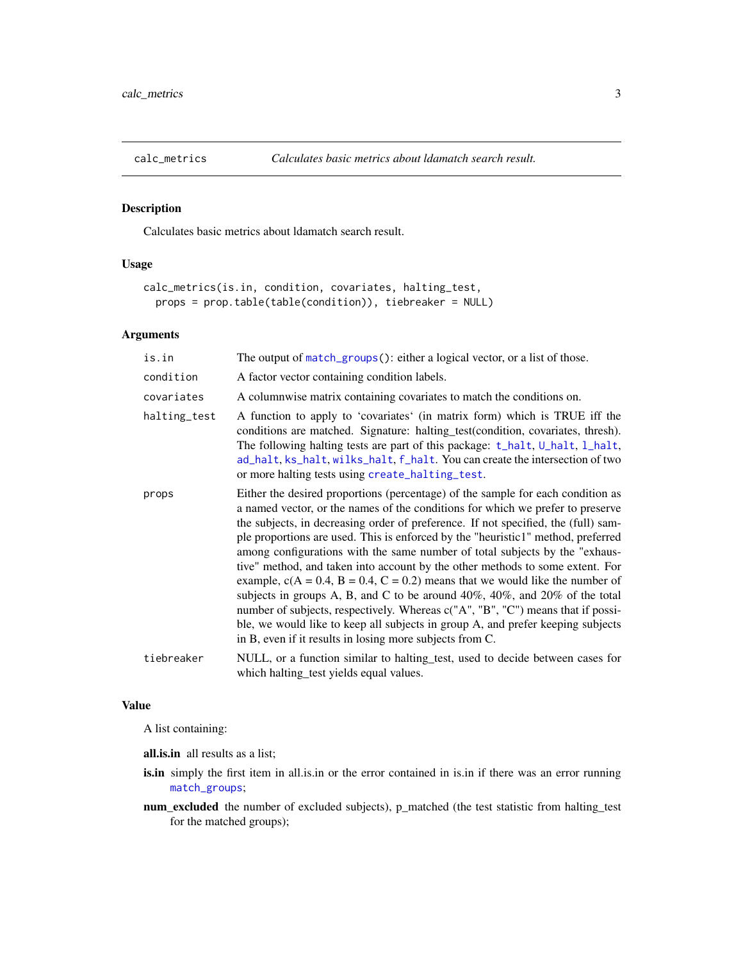<span id="page-2-1"></span><span id="page-2-0"></span>

Calculates basic metrics about ldamatch search result.

## Usage

```
calc_metrics(is.in, condition, covariates, halting_test,
 props = prop.table(table(condition)), tiebreaker = NULL)
```
#### Arguments

| is.in        | The output of match_groups(): either a logical vector, or a list of those.                                                                                                                                                                                                                                                                                                                                                                                                                                                                                                                                                                                                                                                                                                                                                                                                                                               |
|--------------|--------------------------------------------------------------------------------------------------------------------------------------------------------------------------------------------------------------------------------------------------------------------------------------------------------------------------------------------------------------------------------------------------------------------------------------------------------------------------------------------------------------------------------------------------------------------------------------------------------------------------------------------------------------------------------------------------------------------------------------------------------------------------------------------------------------------------------------------------------------------------------------------------------------------------|
| condition    | A factor vector containing condition labels.                                                                                                                                                                                                                                                                                                                                                                                                                                                                                                                                                                                                                                                                                                                                                                                                                                                                             |
| covariates   | A columnwise matrix containing covariates to match the conditions on.                                                                                                                                                                                                                                                                                                                                                                                                                                                                                                                                                                                                                                                                                                                                                                                                                                                    |
| halting_test | A function to apply to 'covariates' (in matrix form) which is TRUE iff the<br>conditions are matched. Signature: halting_test(condition, covariates, thresh).<br>The following halting tests are part of this package: t_halt, U_halt, l_halt,<br>ad_halt, ks_halt, wilks_halt, f_halt. You can create the intersection of two<br>or more halting tests using create_halting_test.                                                                                                                                                                                                                                                                                                                                                                                                                                                                                                                                       |
| props        | Either the desired proportions (percentage) of the sample for each condition as<br>a named vector, or the names of the conditions for which we prefer to preserve<br>the subjects, in decreasing order of preference. If not specified, the (full) sam-<br>ple proportions are used. This is enforced by the "heuristic1" method, preferred<br>among configurations with the same number of total subjects by the "exhaus-<br>tive" method, and taken into account by the other methods to some extent. For<br>example, $c(A = 0.4, B = 0.4, C = 0.2)$ means that we would like the number of<br>subjects in groups A, B, and C to be around $40\%$ , $40\%$ , and $20\%$ of the total<br>number of subjects, respectively. Whereas c("A", "B", "C") means that if possi-<br>ble, we would like to keep all subjects in group A, and prefer keeping subjects<br>in B, even if it results in losing more subjects from C. |
| tiebreaker   | NULL, or a function similar to halting test, used to decide between cases for<br>which halting_test yields equal values.                                                                                                                                                                                                                                                                                                                                                                                                                                                                                                                                                                                                                                                                                                                                                                                                 |

#### Value

A list containing:

all.is.in all results as a list;

- is.in simply the first item in all.is.in or the error contained in is.in if there was an error running [match\\_groups](#page-9-1);
- num\_excluded the number of excluded subjects), p\_matched (the test statistic from halting\_test for the matched groups);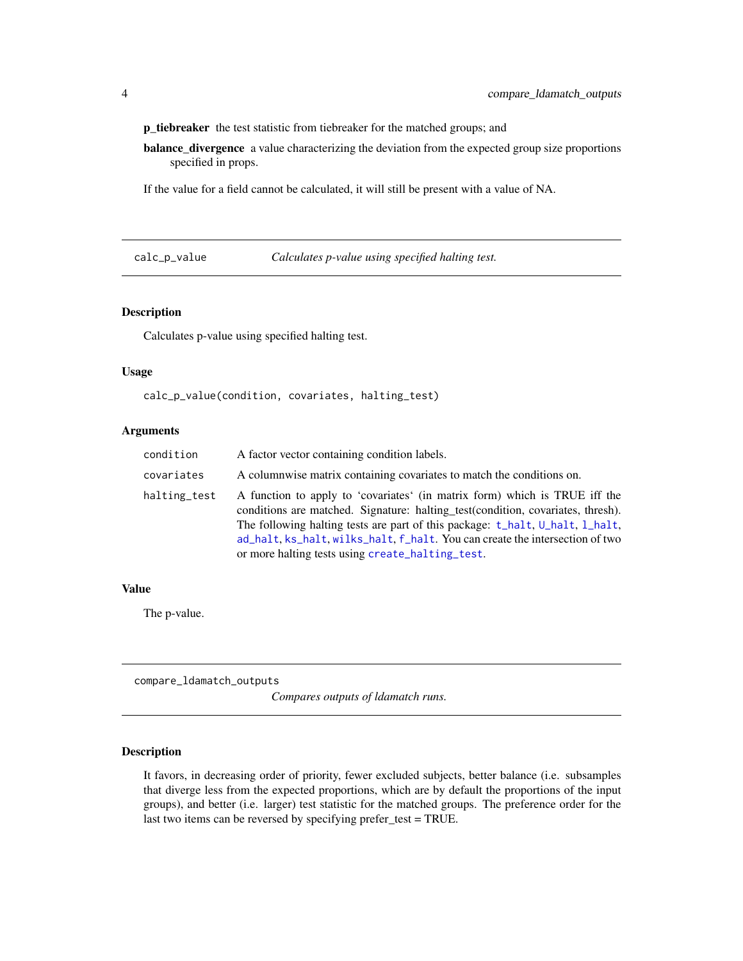<span id="page-3-0"></span>p\_tiebreaker the test statistic from tiebreaker for the matched groups; and

balance\_divergence a value characterizing the deviation from the expected group size proportions specified in props.

If the value for a field cannot be calculated, it will still be present with a value of NA.

<span id="page-3-1"></span>calc\_p\_value *Calculates p-value using specified halting test.*

#### Description

Calculates p-value using specified halting test.

#### Usage

calc\_p\_value(condition, covariates, halting\_test)

#### Arguments

| condition    | A factor vector containing condition labels.                                                                                                                                                                                                                                                                                                                                        |
|--------------|-------------------------------------------------------------------------------------------------------------------------------------------------------------------------------------------------------------------------------------------------------------------------------------------------------------------------------------------------------------------------------------|
| covariates   | A columnwise matrix containing covariates to match the conditions on.                                                                                                                                                                                                                                                                                                               |
| halting_test | A function to apply to 'covariates' (in matrix form) which is TRUE iff the<br>conditions are matched. Signature: halting test (condition, covariates, thresh).<br>The following halting tests are part of this package: t_halt, U_halt, 1_halt,<br>ad halt, ks halt, wilks halt, f halt. You can create the intersection of two<br>or more halting tests using create_halting_test. |

#### Value

The p-value.

<span id="page-3-2"></span>compare\_ldamatch\_outputs

*Compares outputs of ldamatch runs.*

## Description

It favors, in decreasing order of priority, fewer excluded subjects, better balance (i.e. subsamples that diverge less from the expected proportions, which are by default the proportions of the input groups), and better (i.e. larger) test statistic for the matched groups. The preference order for the last two items can be reversed by specifying prefer\_test = TRUE.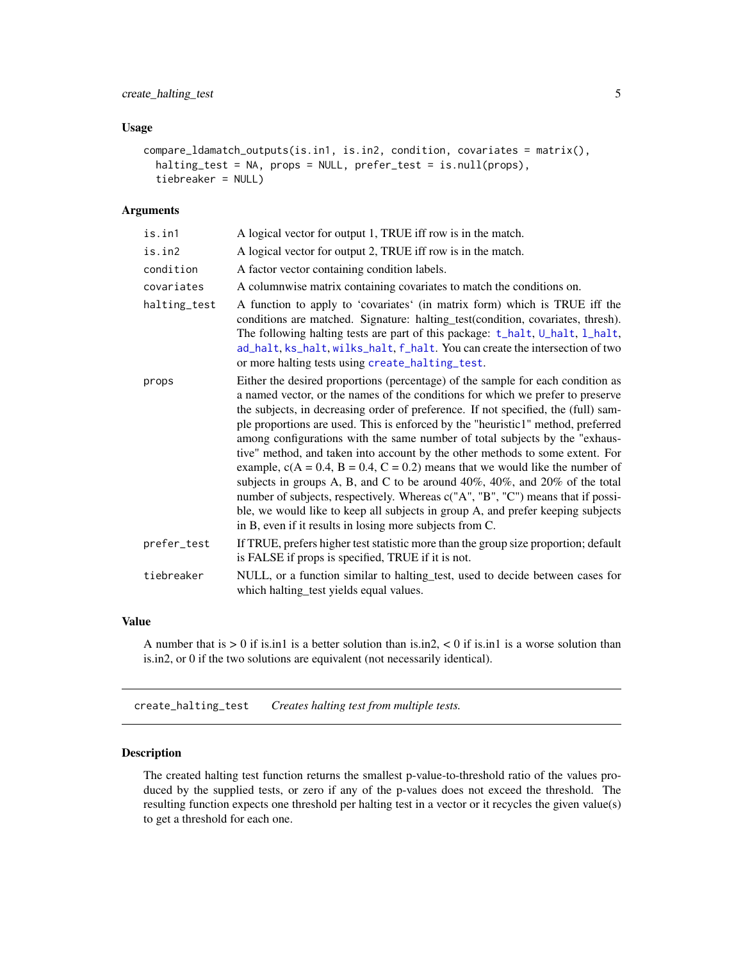#### <span id="page-4-0"></span>Usage

```
compare_ldamatch_outputs(is.in1, is.in2, condition, covariates = matrix(),
  halting_test = NA, props = NULL, prefer_test = is.null(props),
  tiebreaker = NULL)
```
#### Arguments

| is.in1       | A logical vector for output 1, TRUE iff row is in the match.                                                                                                                                                                                                                                                                                                                                                                                                                                                                                                                                                                                                                                                                                                                                                                                                                                                             |
|--------------|--------------------------------------------------------------------------------------------------------------------------------------------------------------------------------------------------------------------------------------------------------------------------------------------------------------------------------------------------------------------------------------------------------------------------------------------------------------------------------------------------------------------------------------------------------------------------------------------------------------------------------------------------------------------------------------------------------------------------------------------------------------------------------------------------------------------------------------------------------------------------------------------------------------------------|
| is.in2       | A logical vector for output 2, TRUE iff row is in the match.                                                                                                                                                                                                                                                                                                                                                                                                                                                                                                                                                                                                                                                                                                                                                                                                                                                             |
| condition    | A factor vector containing condition labels.                                                                                                                                                                                                                                                                                                                                                                                                                                                                                                                                                                                                                                                                                                                                                                                                                                                                             |
| covariates   | A columnwise matrix containing covariates to match the conditions on.                                                                                                                                                                                                                                                                                                                                                                                                                                                                                                                                                                                                                                                                                                                                                                                                                                                    |
| halting_test | A function to apply to 'covariates' (in matrix form) which is TRUE iff the<br>conditions are matched. Signature: halting_test(condition, covariates, thresh).<br>The following halting tests are part of this package: t_halt, U_halt, l_halt,<br>ad_halt, ks_halt, wilks_halt, f_halt. You can create the intersection of two<br>or more halting tests using create_halting_test.                                                                                                                                                                                                                                                                                                                                                                                                                                                                                                                                       |
| props        | Either the desired proportions (percentage) of the sample for each condition as<br>a named vector, or the names of the conditions for which we prefer to preserve<br>the subjects, in decreasing order of preference. If not specified, the (full) sam-<br>ple proportions are used. This is enforced by the "heuristic1" method, preferred<br>among configurations with the same number of total subjects by the "exhaus-<br>tive" method, and taken into account by the other methods to some extent. For<br>example, $c(A = 0.4, B = 0.4, C = 0.2)$ means that we would like the number of<br>subjects in groups A, B, and C to be around $40\%$ , $40\%$ , and $20\%$ of the total<br>number of subjects, respectively. Whereas c("A", "B", "C") means that if possi-<br>ble, we would like to keep all subjects in group A, and prefer keeping subjects<br>in B, even if it results in losing more subjects from C. |
| prefer_test  | If TRUE, prefers higher test statistic more than the group size proportion; default<br>is FALSE if props is specified, TRUE if it is not.                                                                                                                                                                                                                                                                                                                                                                                                                                                                                                                                                                                                                                                                                                                                                                                |
| tiebreaker   | NULL, or a function similar to halting test, used to decide between cases for<br>which halting_test yields equal values.                                                                                                                                                                                                                                                                                                                                                                                                                                                                                                                                                                                                                                                                                                                                                                                                 |

#### Value

A number that is  $> 0$  if is.in1 is a better solution than is.in2,  $< 0$  if is.in1 is a worse solution than is.in2, or 0 if the two solutions are equivalent (not necessarily identical).

<span id="page-4-1"></span>create\_halting\_test *Creates halting test from multiple tests.*

#### Description

The created halting test function returns the smallest p-value-to-threshold ratio of the values produced by the supplied tests, or zero if any of the p-values does not exceed the threshold. The resulting function expects one threshold per halting test in a vector or it recycles the given value(s) to get a threshold for each one.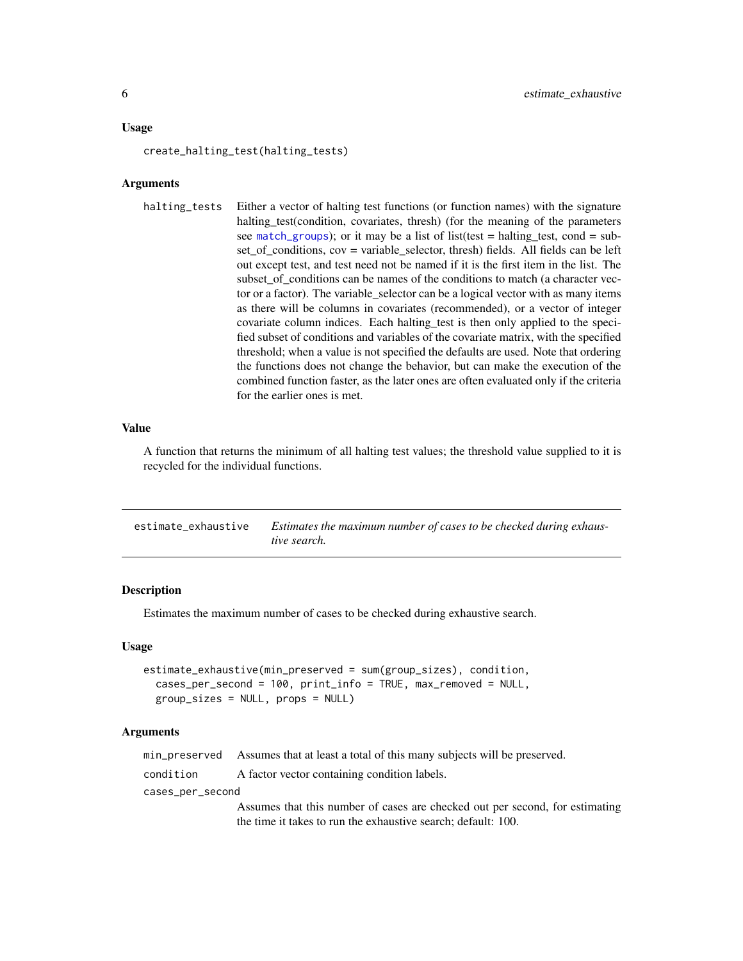#### <span id="page-5-0"></span>Usage

create\_halting\_test(halting\_tests)

#### Arguments

halting tests Either a vector of halting test functions (or function names) with the signature halting\_test(condition, covariates, thresh) (for the meaning of the parameters see [match\\_groups](#page-9-1)); or it may be a list of list(test = halting\_test, cond = subset of conditions,  $cov = \text{variable}$  selector, thresh) fields. All fields can be left out except test, and test need not be named if it is the first item in the list. The subset\_of\_conditions can be names of the conditions to match (a character vector or a factor). The variable\_selector can be a logical vector with as many items as there will be columns in covariates (recommended), or a vector of integer covariate column indices. Each halting\_test is then only applied to the specified subset of conditions and variables of the covariate matrix, with the specified threshold; when a value is not specified the defaults are used. Note that ordering the functions does not change the behavior, but can make the execution of the combined function faster, as the later ones are often evaluated only if the criteria for the earlier ones is met.

#### Value

A function that returns the minimum of all halting test values; the threshold value supplied to it is recycled for the individual functions.

| estimate exhaustive | Estimates the maximum number of cases to be checked during exhaus- |
|---------------------|--------------------------------------------------------------------|
|                     | tive search.                                                       |

#### Description

Estimates the maximum number of cases to be checked during exhaustive search.

#### Usage

```
estimate_exhaustive(min_preserved = sum(group_sizes), condition,
  cases_per_second = 100, print_info = TRUE, max_removed = NULL,
  group_sizes = NULL, props = NULL)
```

|                  | min_preserved Assumes that at least a total of this many subjects will be preserved. |
|------------------|--------------------------------------------------------------------------------------|
| condition        | A factor vector containing condition labels.                                         |
| cases_per_second |                                                                                      |
|                  | Assumes that this number of cases are checked out per second, for estimating         |
|                  | the time it takes to run the exhaustive search; default: 100.                        |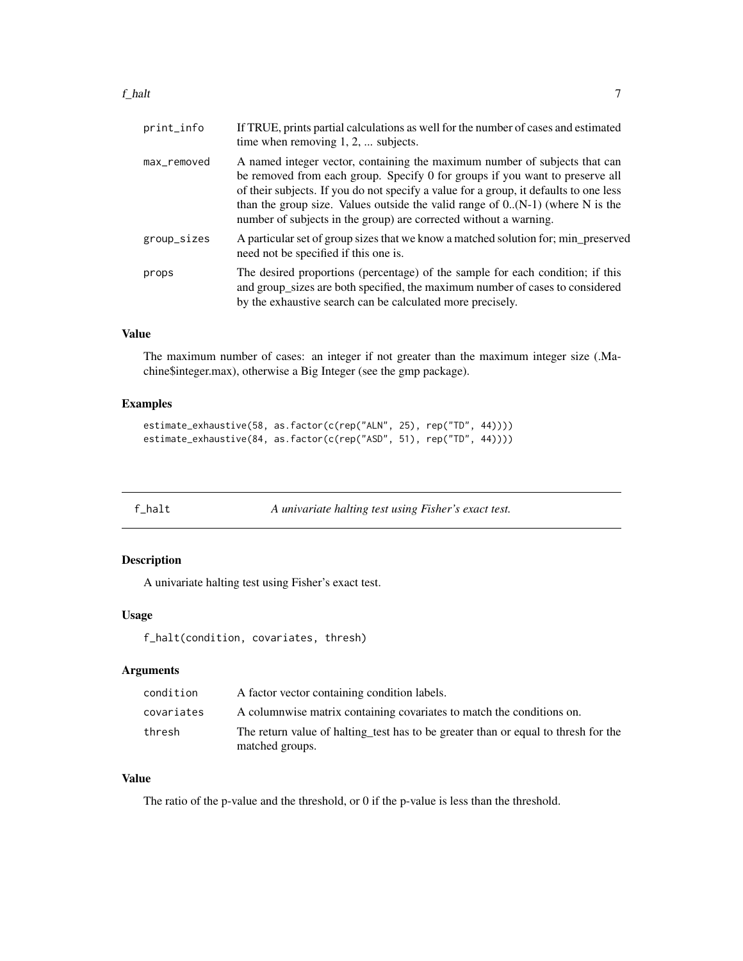#### <span id="page-6-0"></span> $f_{\perp}$ halt  $\sim$  7

| print_info  | If TRUE, prints partial calculations as well for the number of cases and estimated<br>time when removing $1, 2, \ldots$ subjects.                                                                                                                                                                                                                                                                            |
|-------------|--------------------------------------------------------------------------------------------------------------------------------------------------------------------------------------------------------------------------------------------------------------------------------------------------------------------------------------------------------------------------------------------------------------|
| max_removed | A named integer vector, containing the maximum number of subjects that can<br>be removed from each group. Specify 0 for groups if you want to preserve all<br>of their subjects. If you do not specify a value for a group, it defaults to one less<br>than the group size. Values outside the valid range of $0.(N-1)$ (where N is the<br>number of subjects in the group) are corrected without a warning. |
| group_sizes | A particular set of group sizes that we know a matched solution for; min_preserved<br>need not be specified if this one is.                                                                                                                                                                                                                                                                                  |
| props       | The desired proportions (percentage) of the sample for each condition; if this<br>and group_sizes are both specified, the maximum number of cases to considered<br>by the exhaustive search can be calculated more precisely.                                                                                                                                                                                |

## Value

The maximum number of cases: an integer if not greater than the maximum integer size (.Machine\$integer.max), otherwise a Big Integer (see the gmp package).

#### Examples

```
estimate_exhaustive(58, as.factor(c(rep("ALN", 25), rep("TD", 44))))
estimate_exhaustive(84, as.factor(c(rep("ASD", 51), rep("TD", 44))))
```
<span id="page-6-1"></span>f\_halt *A univariate halting test using Fisher's exact test.*

## Description

A univariate halting test using Fisher's exact test.

#### Usage

f\_halt(condition, covariates, thresh)

## Arguments

| condition  | A factor vector containing condition labels.                                                          |
|------------|-------------------------------------------------------------------------------------------------------|
| covariates | A columnwise matrix containing covariates to match the conditions on.                                 |
| thresh     | The return value of halting test has to be greater than or equal to thresh for the<br>matched groups. |

## Value

The ratio of the p-value and the threshold, or 0 if the p-value is less than the threshold.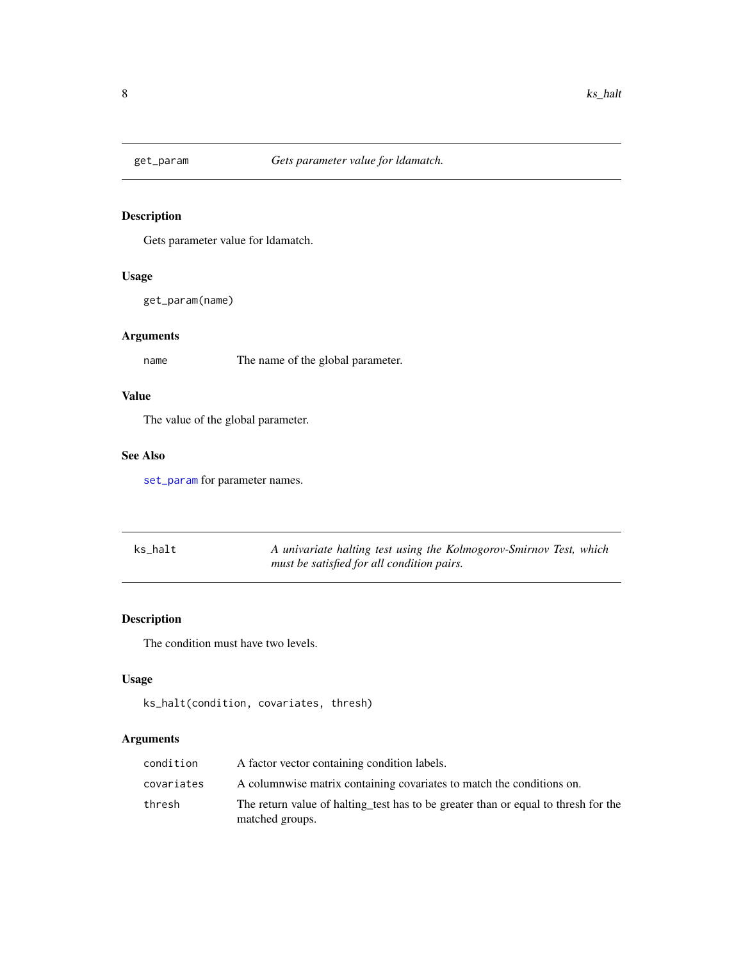<span id="page-7-2"></span><span id="page-7-0"></span>

Gets parameter value for ldamatch.

## Usage

get\_param(name)

## Arguments

name The name of the global parameter.

## Value

The value of the global parameter.

## See Also

[set\\_param](#page-18-1) for parameter names.

<span id="page-7-1"></span>

| ks halt | A univariate halting test using the Kolmogorov-Smirnov Test, which |
|---------|--------------------------------------------------------------------|
|         | must be satisfied for all condition pairs.                         |

## Description

The condition must have two levels.

## Usage

```
ks_halt(condition, covariates, thresh)
```

| condition  | A factor vector containing condition labels.                                                          |
|------------|-------------------------------------------------------------------------------------------------------|
| covariates | A columnwise matrix containing covariates to match the conditions on.                                 |
| thresh     | The return value of halting test has to be greater than or equal to thresh for the<br>matched groups. |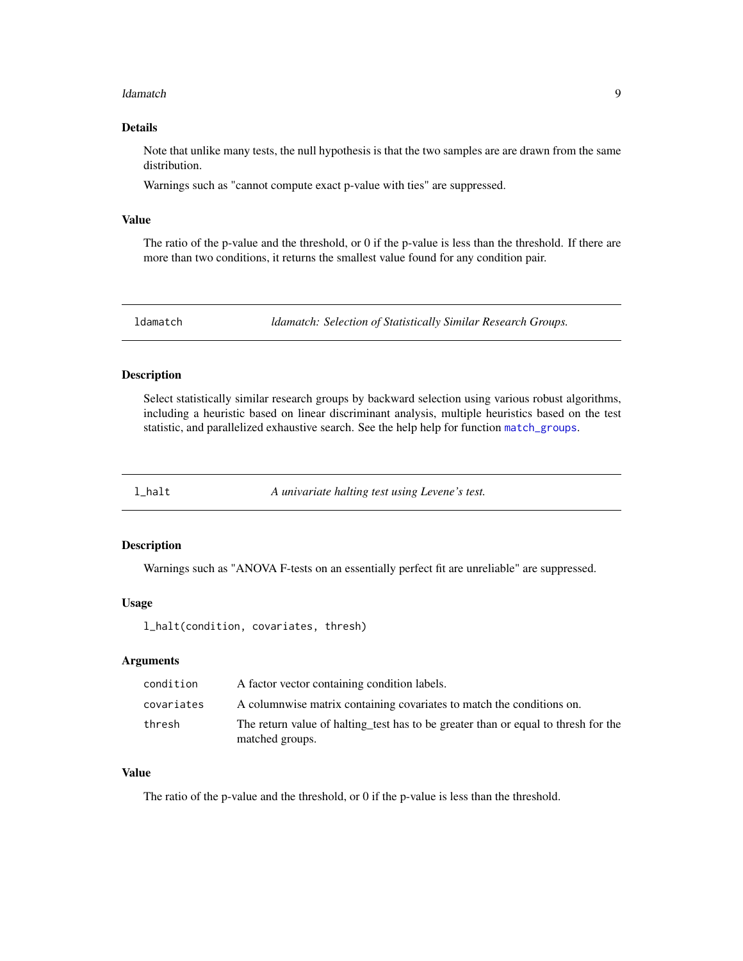#### <span id="page-8-0"></span>ldamatch 9

#### Details

Note that unlike many tests, the null hypothesis is that the two samples are are drawn from the same distribution.

Warnings such as "cannot compute exact p-value with ties" are suppressed.

#### Value

The ratio of the p-value and the threshold, or 0 if the p-value is less than the threshold. If there are more than two conditions, it returns the smallest value found for any condition pair.

ldamatch *ldamatch: Selection of Statistically Similar Research Groups.*

## Description

Select statistically similar research groups by backward selection using various robust algorithms, including a heuristic based on linear discriminant analysis, multiple heuristics based on the test statistic, and parallelized exhaustive search. See the help help for function [match\\_groups](#page-9-1).

<span id="page-8-1"></span>l\_halt *A univariate halting test using Levene's test.*

#### Description

Warnings such as "ANOVA F-tests on an essentially perfect fit are unreliable" are suppressed.

#### Usage

l\_halt(condition, covariates, thresh)

## Arguments

| condition  | A factor vector containing condition labels.                                                          |
|------------|-------------------------------------------------------------------------------------------------------|
| covariates | A columnwise matrix containing covariates to match the conditions on.                                 |
| thresh     | The return value of halting test has to be greater than or equal to thresh for the<br>matched groups. |

## Value

The ratio of the p-value and the threshold, or 0 if the p-value is less than the threshold.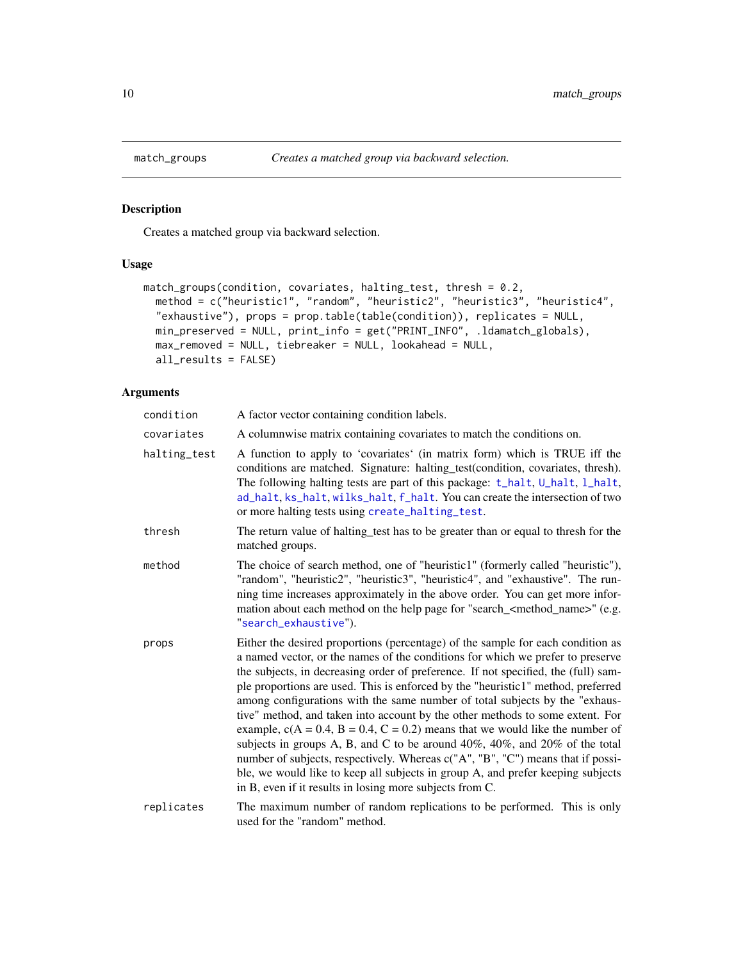Creates a matched group via backward selection.

## Usage

```
match_groups(condition, covariates, halting_test, thresh = 0.2,
 method = c("heuristic1", "random", "heuristic2", "heuristic3", "heuristic4",
  "exhaustive"), props = prop.table(table(condition)), replicates = NULL,
 min_preserved = NULL, print_info = get("PRINT_INFO", .ldamatch_globals),
 max_removed = NULL, tiebreaker = NULL, lookahead = NULL,
 all_results = FALSE)
```

| condition    | A factor vector containing condition labels.                                                                                                                                                                                                                                                                                                                                                                                                                                                                                                                                                                                                                                                                                                                                                                                                                                                                             |
|--------------|--------------------------------------------------------------------------------------------------------------------------------------------------------------------------------------------------------------------------------------------------------------------------------------------------------------------------------------------------------------------------------------------------------------------------------------------------------------------------------------------------------------------------------------------------------------------------------------------------------------------------------------------------------------------------------------------------------------------------------------------------------------------------------------------------------------------------------------------------------------------------------------------------------------------------|
| covariates   | A columnwise matrix containing covariates to match the conditions on.                                                                                                                                                                                                                                                                                                                                                                                                                                                                                                                                                                                                                                                                                                                                                                                                                                                    |
| halting_test | A function to apply to 'covariates' (in matrix form) which is TRUE iff the<br>conditions are matched. Signature: halting_test(condition, covariates, thresh).<br>The following halting tests are part of this package: t_halt, U_halt, l_halt,<br>ad_halt, ks_halt, wilks_halt, f_halt. You can create the intersection of two<br>or more halting tests using create_halting_test.                                                                                                                                                                                                                                                                                                                                                                                                                                                                                                                                       |
| thresh       | The return value of halting_test has to be greater than or equal to thresh for the<br>matched groups.                                                                                                                                                                                                                                                                                                                                                                                                                                                                                                                                                                                                                                                                                                                                                                                                                    |
| method       | The choice of search method, one of "heuristic1" (formerly called "heuristic"),<br>"random", "heuristic2", "heuristic3", "heuristic4", and "exhaustive". The run-<br>ning time increases approximately in the above order. You can get more infor-<br>mation about each method on the help page for "search_ <method_name>" (e.g.<br/>"search_exhaustive").</method_name>                                                                                                                                                                                                                                                                                                                                                                                                                                                                                                                                                |
| props        | Either the desired proportions (percentage) of the sample for each condition as<br>a named vector, or the names of the conditions for which we prefer to preserve<br>the subjects, in decreasing order of preference. If not specified, the (full) sam-<br>ple proportions are used. This is enforced by the "heuristic1" method, preferred<br>among configurations with the same number of total subjects by the "exhaus-<br>tive" method, and taken into account by the other methods to some extent. For<br>example, $c(A = 0.4, B = 0.4, C = 0.2)$ means that we would like the number of<br>subjects in groups A, B, and C to be around $40\%$ , $40\%$ , and $20\%$ of the total<br>number of subjects, respectively. Whereas c("A", "B", "C") means that if possi-<br>ble, we would like to keep all subjects in group A, and prefer keeping subjects<br>in B, even if it results in losing more subjects from C. |
| replicates   | The maximum number of random replications to be performed. This is only<br>used for the "random" method.                                                                                                                                                                                                                                                                                                                                                                                                                                                                                                                                                                                                                                                                                                                                                                                                                 |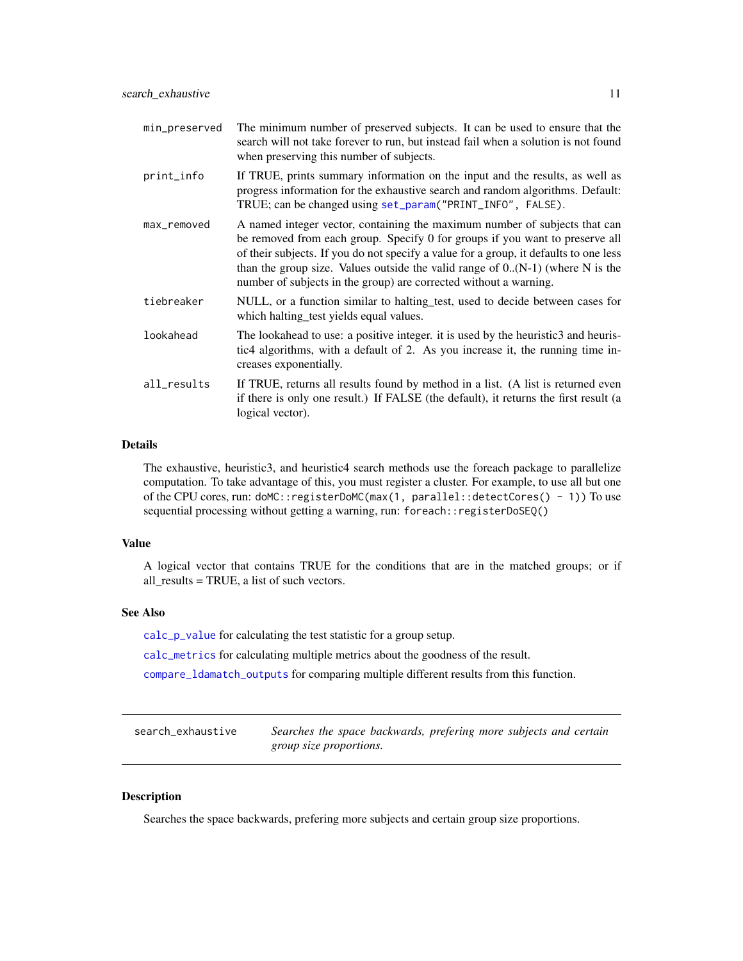<span id="page-10-0"></span>

| min_preserved | The minimum number of preserved subjects. It can be used to ensure that the<br>search will not take forever to run, but instead fail when a solution is not found<br>when preserving this number of subjects.                                                                                                                                                                                                |
|---------------|--------------------------------------------------------------------------------------------------------------------------------------------------------------------------------------------------------------------------------------------------------------------------------------------------------------------------------------------------------------------------------------------------------------|
| print_info    | If TRUE, prints summary information on the input and the results, as well as<br>progress information for the exhaustive search and random algorithms. Default:<br>TRUE; can be changed using set_param("PRINT_INFO", FALSE).                                                                                                                                                                                 |
| max_removed   | A named integer vector, containing the maximum number of subjects that can<br>be removed from each group. Specify 0 for groups if you want to preserve all<br>of their subjects. If you do not specify a value for a group, it defaults to one less<br>than the group size. Values outside the valid range of $0.(N-1)$ (where N is the<br>number of subjects in the group) are corrected without a warning. |
| tiebreaker    | NULL, or a function similar to halting test, used to decide between cases for<br>which halting test yields equal values.                                                                                                                                                                                                                                                                                     |
| lookahead     | The lookahead to use: a positive integer. it is used by the heuristic3 and heuris-<br>tic4 algorithms, with a default of 2. As you increase it, the running time in-<br>creases exponentially.                                                                                                                                                                                                               |
| all_results   | If TRUE, returns all results found by method in a list. (A list is returned even<br>if there is only one result.) If FALSE (the default), it returns the first result (a<br>logical vector).                                                                                                                                                                                                                 |

#### Details

The exhaustive, heuristic3, and heuristic4 search methods use the foreach package to parallelize computation. To take advantage of this, you must register a cluster. For example, to use all but one of the CPU cores, run: doMC::registerDoMC(max(1, parallel::detectCores() - 1)) To use sequential processing without getting a warning, run: foreach::registerDoSEQ()

#### Value

A logical vector that contains TRUE for the conditions that are in the matched groups; or if all\_results = TRUE, a list of such vectors.

#### See Also

[calc\\_p\\_value](#page-3-1) for calculating the test statistic for a group setup.

[calc\\_metrics](#page-2-1) for calculating multiple metrics about the goodness of the result.

[compare\\_ldamatch\\_outputs](#page-3-2) for comparing multiple different results from this function.

<span id="page-10-1"></span>search\_exhaustive *Searches the space backwards, prefering more subjects and certain group size proportions.*

## Description

Searches the space backwards, prefering more subjects and certain group size proportions.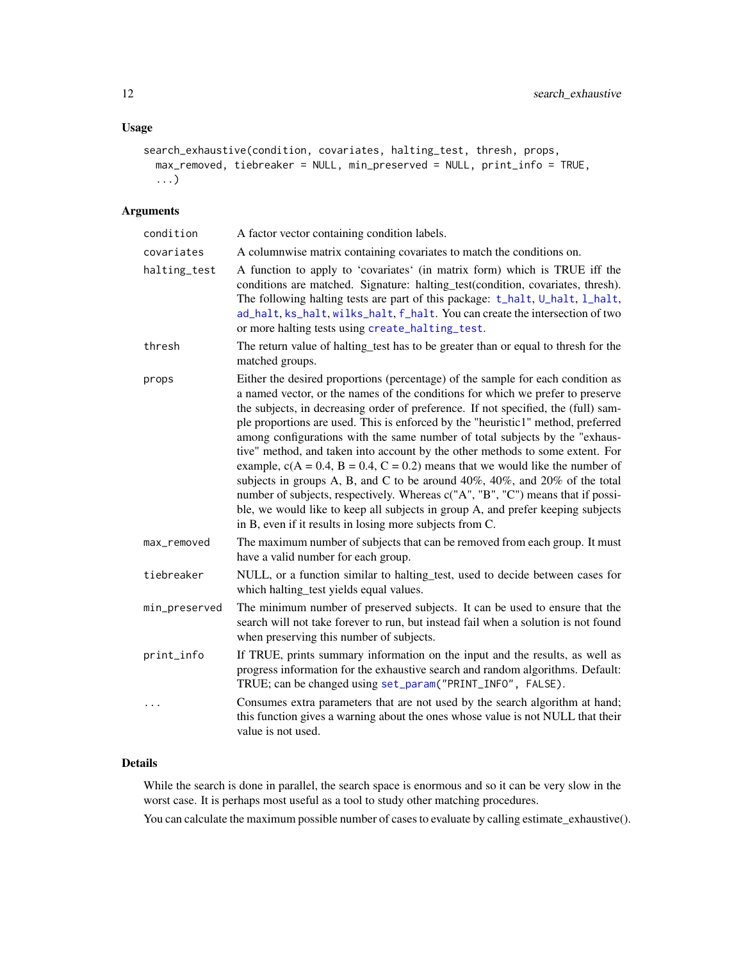## <span id="page-11-0"></span>Usage

```
search_exhaustive(condition, covariates, halting_test, thresh, props,
 max_removed, tiebreaker = NULL, min_preserved = NULL, print_info = TRUE,
  ...)
```
#### Arguments

| condition     | A factor vector containing condition labels.                                                                                                                                                                                                                                                                                                                                                                                                                                                                                                                                                                                                                                                                                                                                                                                                                                                                             |
|---------------|--------------------------------------------------------------------------------------------------------------------------------------------------------------------------------------------------------------------------------------------------------------------------------------------------------------------------------------------------------------------------------------------------------------------------------------------------------------------------------------------------------------------------------------------------------------------------------------------------------------------------------------------------------------------------------------------------------------------------------------------------------------------------------------------------------------------------------------------------------------------------------------------------------------------------|
| covariates    | A columnwise matrix containing covariates to match the conditions on.                                                                                                                                                                                                                                                                                                                                                                                                                                                                                                                                                                                                                                                                                                                                                                                                                                                    |
| halting_test  | A function to apply to 'covariates' (in matrix form) which is TRUE iff the<br>conditions are matched. Signature: halting_test(condition, covariates, thresh).<br>The following halting tests are part of this package: t_halt, U_halt, l_halt,<br>ad_halt, ks_halt, wilks_halt, f_halt. You can create the intersection of two<br>or more halting tests using create_halting_test.                                                                                                                                                                                                                                                                                                                                                                                                                                                                                                                                       |
| thresh        | The return value of halting_test has to be greater than or equal to thresh for the<br>matched groups.                                                                                                                                                                                                                                                                                                                                                                                                                                                                                                                                                                                                                                                                                                                                                                                                                    |
| props         | Either the desired proportions (percentage) of the sample for each condition as<br>a named vector, or the names of the conditions for which we prefer to preserve<br>the subjects, in decreasing order of preference. If not specified, the (full) sam-<br>ple proportions are used. This is enforced by the "heuristic1" method, preferred<br>among configurations with the same number of total subjects by the "exhaus-<br>tive" method, and taken into account by the other methods to some extent. For<br>example, $c(A = 0.4, B = 0.4, C = 0.2)$ means that we would like the number of<br>subjects in groups A, B, and C to be around $40\%$ , $40\%$ , and $20\%$ of the total<br>number of subjects, respectively. Whereas c("A", "B", "C") means that if possi-<br>ble, we would like to keep all subjects in group A, and prefer keeping subjects<br>in B, even if it results in losing more subjects from C. |
| max_removed   | The maximum number of subjects that can be removed from each group. It must<br>have a valid number for each group.                                                                                                                                                                                                                                                                                                                                                                                                                                                                                                                                                                                                                                                                                                                                                                                                       |
| tiebreaker    | NULL, or a function similar to halting test, used to decide between cases for<br>which halting_test yields equal values.                                                                                                                                                                                                                                                                                                                                                                                                                                                                                                                                                                                                                                                                                                                                                                                                 |
| min_preserved | The minimum number of preserved subjects. It can be used to ensure that the<br>search will not take forever to run, but instead fail when a solution is not found<br>when preserving this number of subjects.                                                                                                                                                                                                                                                                                                                                                                                                                                                                                                                                                                                                                                                                                                            |
| print_info    | If TRUE, prints summary information on the input and the results, as well as<br>progress information for the exhaustive search and random algorithms. Default:<br>TRUE; can be changed using set_param("PRINT_INFO", FALSE).                                                                                                                                                                                                                                                                                                                                                                                                                                                                                                                                                                                                                                                                                             |
| .             | Consumes extra parameters that are not used by the search algorithm at hand;<br>this function gives a warning about the ones whose value is not NULL that their<br>value is not used.                                                                                                                                                                                                                                                                                                                                                                                                                                                                                                                                                                                                                                                                                                                                    |

#### Details

While the search is done in parallel, the search space is enormous and so it can be very slow in the worst case. It is perhaps most useful as a tool to study other matching procedures.

You can calculate the maximum possible number of cases to evaluate by calling estimate\_exhaustive().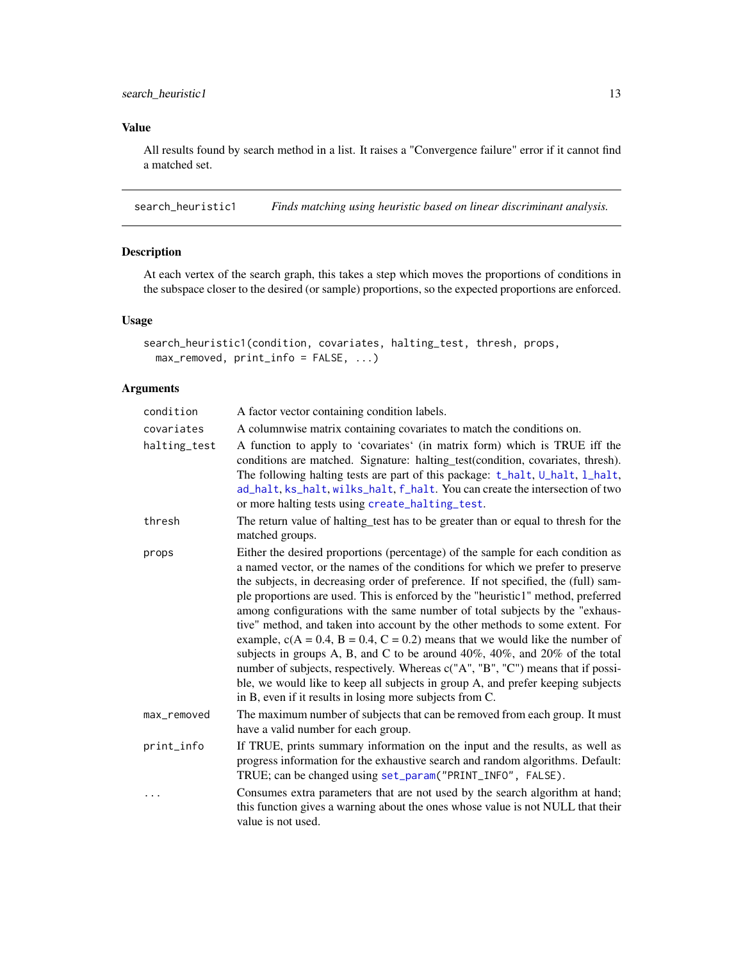<span id="page-12-0"></span>All results found by search method in a list. It raises a "Convergence failure" error if it cannot find a matched set.

search\_heuristic1 *Finds matching using heuristic based on linear discriminant analysis.*

#### Description

At each vertex of the search graph, this takes a step which moves the proportions of conditions in the subspace closer to the desired (or sample) proportions, so the expected proportions are enforced.

#### Usage

```
search_heuristic1(condition, covariates, halting_test, thresh, props,
 max_removed, print_info = FALSE, ...)
```

| condition    | A factor vector containing condition labels.                                                                                                                                                                                                                                                                                                                                                                                                                                                                                                                                                                                                                                                                                                                                                                                                                                                                             |
|--------------|--------------------------------------------------------------------------------------------------------------------------------------------------------------------------------------------------------------------------------------------------------------------------------------------------------------------------------------------------------------------------------------------------------------------------------------------------------------------------------------------------------------------------------------------------------------------------------------------------------------------------------------------------------------------------------------------------------------------------------------------------------------------------------------------------------------------------------------------------------------------------------------------------------------------------|
| covariates   | A columnwise matrix containing covariates to match the conditions on.                                                                                                                                                                                                                                                                                                                                                                                                                                                                                                                                                                                                                                                                                                                                                                                                                                                    |
| halting_test | A function to apply to 'covariates' (in matrix form) which is TRUE iff the<br>conditions are matched. Signature: halting_test(condition, covariates, thresh).<br>The following halting tests are part of this package: t_halt, U_halt, l_halt,<br>ad_halt, ks_halt, wilks_halt, f_halt. You can create the intersection of two<br>or more halting tests using create_halting_test.                                                                                                                                                                                                                                                                                                                                                                                                                                                                                                                                       |
| thresh       | The return value of halting test has to be greater than or equal to thresh for the<br>matched groups.                                                                                                                                                                                                                                                                                                                                                                                                                                                                                                                                                                                                                                                                                                                                                                                                                    |
| props        | Either the desired proportions (percentage) of the sample for each condition as<br>a named vector, or the names of the conditions for which we prefer to preserve<br>the subjects, in decreasing order of preference. If not specified, the (full) sam-<br>ple proportions are used. This is enforced by the "heuristic1" method, preferred<br>among configurations with the same number of total subjects by the "exhaus-<br>tive" method, and taken into account by the other methods to some extent. For<br>example, $c(A = 0.4, B = 0.4, C = 0.2)$ means that we would like the number of<br>subjects in groups A, B, and C to be around $40\%$ , $40\%$ , and $20\%$ of the total<br>number of subjects, respectively. Whereas c("A", "B", "C") means that if possi-<br>ble, we would like to keep all subjects in group A, and prefer keeping subjects<br>in B, even if it results in losing more subjects from C. |
| max_removed  | The maximum number of subjects that can be removed from each group. It must<br>have a valid number for each group.                                                                                                                                                                                                                                                                                                                                                                                                                                                                                                                                                                                                                                                                                                                                                                                                       |
| print_info   | If TRUE, prints summary information on the input and the results, as well as<br>progress information for the exhaustive search and random algorithms. Default:<br>TRUE; can be changed using set_param("PRINT_INFO", FALSE).                                                                                                                                                                                                                                                                                                                                                                                                                                                                                                                                                                                                                                                                                             |
| .            | Consumes extra parameters that are not used by the search algorithm at hand;<br>this function gives a warning about the ones whose value is not NULL that their<br>value is not used.                                                                                                                                                                                                                                                                                                                                                                                                                                                                                                                                                                                                                                                                                                                                    |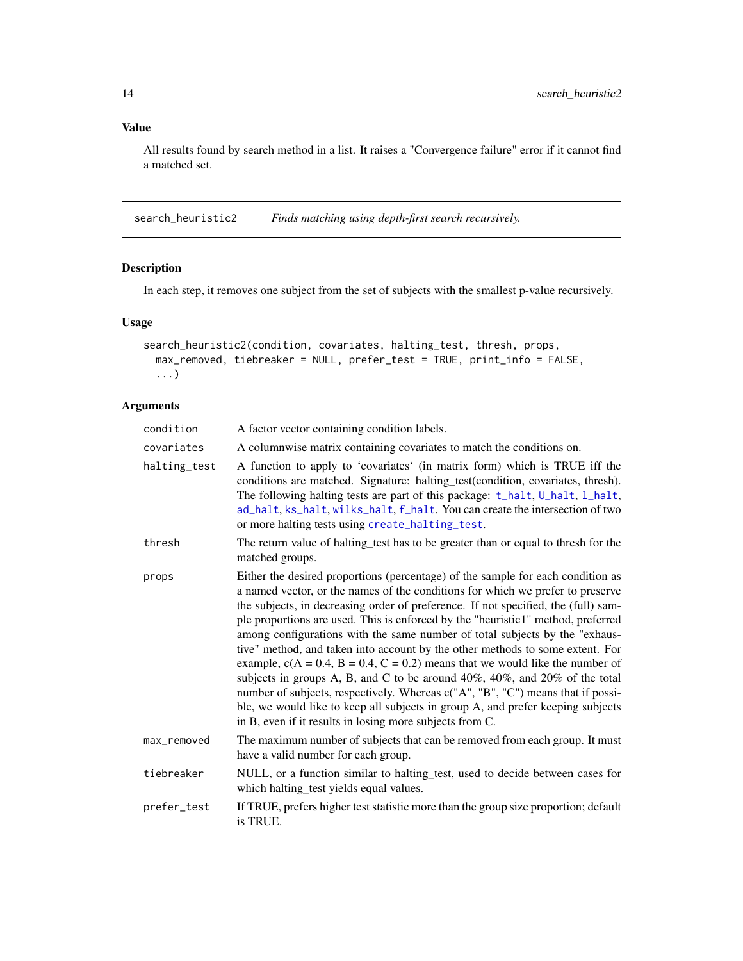All results found by search method in a list. It raises a "Convergence failure" error if it cannot find a matched set.

search\_heuristic2 *Finds matching using depth-first search recursively.*

## Description

In each step, it removes one subject from the set of subjects with the smallest p-value recursively.

#### Usage

```
search_heuristic2(condition, covariates, halting_test, thresh, props,
 max_removed, tiebreaker = NULL, prefer_test = TRUE, print_info = FALSE,
  ...)
```

| condition    | A factor vector containing condition labels.                                                                                                                                                                                                                                                                                                                                                                                                                                                                                                                                                                                                                                                                                                                                                                                                                                                                             |
|--------------|--------------------------------------------------------------------------------------------------------------------------------------------------------------------------------------------------------------------------------------------------------------------------------------------------------------------------------------------------------------------------------------------------------------------------------------------------------------------------------------------------------------------------------------------------------------------------------------------------------------------------------------------------------------------------------------------------------------------------------------------------------------------------------------------------------------------------------------------------------------------------------------------------------------------------|
| covariates   | A columnwise matrix containing covariates to match the conditions on.                                                                                                                                                                                                                                                                                                                                                                                                                                                                                                                                                                                                                                                                                                                                                                                                                                                    |
| halting_test | A function to apply to 'covariates' (in matrix form) which is TRUE iff the<br>conditions are matched. Signature: halting_test(condition, covariates, thresh).<br>The following halting tests are part of this package: t_halt, U_halt, l_halt,<br>ad_halt, ks_halt, wilks_halt, f_halt. You can create the intersection of two<br>or more halting tests using create_halting_test.                                                                                                                                                                                                                                                                                                                                                                                                                                                                                                                                       |
| thresh       | The return value of halting_test has to be greater than or equal to thresh for the<br>matched groups.                                                                                                                                                                                                                                                                                                                                                                                                                                                                                                                                                                                                                                                                                                                                                                                                                    |
| props        | Either the desired proportions (percentage) of the sample for each condition as<br>a named vector, or the names of the conditions for which we prefer to preserve<br>the subjects, in decreasing order of preference. If not specified, the (full) sam-<br>ple proportions are used. This is enforced by the "heuristic1" method, preferred<br>among configurations with the same number of total subjects by the "exhaus-<br>tive" method, and taken into account by the other methods to some extent. For<br>example, $c(A = 0.4, B = 0.4, C = 0.2)$ means that we would like the number of<br>subjects in groups A, B, and C to be around $40\%$ , $40\%$ , and $20\%$ of the total<br>number of subjects, respectively. Whereas c("A", "B", "C") means that if possi-<br>ble, we would like to keep all subjects in group A, and prefer keeping subjects<br>in B, even if it results in losing more subjects from C. |
| max_removed  | The maximum number of subjects that can be removed from each group. It must<br>have a valid number for each group.                                                                                                                                                                                                                                                                                                                                                                                                                                                                                                                                                                                                                                                                                                                                                                                                       |
| tiebreaker   | NULL, or a function similar to halting_test, used to decide between cases for<br>which halting_test yields equal values.                                                                                                                                                                                                                                                                                                                                                                                                                                                                                                                                                                                                                                                                                                                                                                                                 |
| prefer_test  | If TRUE, prefers higher test statistic more than the group size proportion; default<br>is TRUE.                                                                                                                                                                                                                                                                                                                                                                                                                                                                                                                                                                                                                                                                                                                                                                                                                          |

<span id="page-13-0"></span>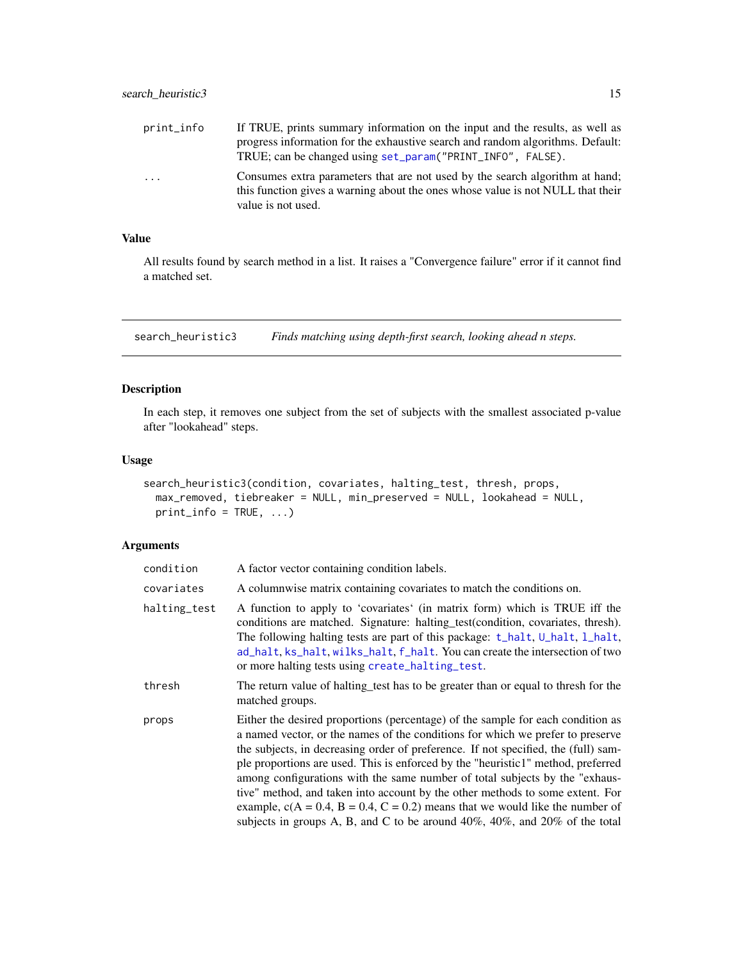<span id="page-14-0"></span>

| print_info              | If TRUE, prints summary information on the input and the results, as well as<br>progress information for the exhaustive search and random algorithms. Default:<br>TRUE; can be changed using set_param("PRINT_INFO", FALSE). |
|-------------------------|------------------------------------------------------------------------------------------------------------------------------------------------------------------------------------------------------------------------------|
| $\cdot$ $\cdot$ $\cdot$ | Consumes extra parameters that are not used by the search algorithm at hand;<br>this function gives a warning about the ones whose value is not NULL that their<br>value is not used.                                        |

All results found by search method in a list. It raises a "Convergence failure" error if it cannot find a matched set.

search\_heuristic3 *Finds matching using depth-first search, looking ahead n steps.*

#### Description

In each step, it removes one subject from the set of subjects with the smallest associated p-value after "lookahead" steps.

#### Usage

```
search_heuristic3(condition, covariates, halting_test, thresh, props,
 max_removed, tiebreaker = NULL, min_preserved = NULL, lookahead = NULL,
 print_info = TRUE, ...)
```

| condition    | A factor vector containing condition labels.                                                                                                                                                                                                                                                                                                                                                                                                                                                                                                                                                                                                                                           |
|--------------|----------------------------------------------------------------------------------------------------------------------------------------------------------------------------------------------------------------------------------------------------------------------------------------------------------------------------------------------------------------------------------------------------------------------------------------------------------------------------------------------------------------------------------------------------------------------------------------------------------------------------------------------------------------------------------------|
| covariates   | A columnwise matrix containing covariates to match the conditions on.                                                                                                                                                                                                                                                                                                                                                                                                                                                                                                                                                                                                                  |
| halting_test | A function to apply to 'covariates' (in matrix form) which is TRUE iff the<br>conditions are matched. Signature: halting_test(condition, covariates, thresh).<br>The following halting tests are part of this package: t_halt, U_halt, l_halt,<br>ad_halt, ks_halt, wilks_halt, f_halt. You can create the intersection of two<br>or more halting tests using create_halting_test.                                                                                                                                                                                                                                                                                                     |
| thresh       | The return value of halting test has to be greater than or equal to thresh for the<br>matched groups.                                                                                                                                                                                                                                                                                                                                                                                                                                                                                                                                                                                  |
| props        | Either the desired proportions (percentage) of the sample for each condition as<br>a named vector, or the names of the conditions for which we prefer to preserve<br>the subjects, in decreasing order of preference. If not specified, the (full) sam-<br>ple proportions are used. This is enforced by the "heuristic1" method, preferred<br>among configurations with the same number of total subjects by the "exhaus-<br>tive" method, and taken into account by the other methods to some extent. For<br>example, $c(A = 0.4, B = 0.4, C = 0.2)$ means that we would like the number of<br>subjects in groups A, B, and C to be around $40\%$ , $40\%$ , and $20\%$ of the total |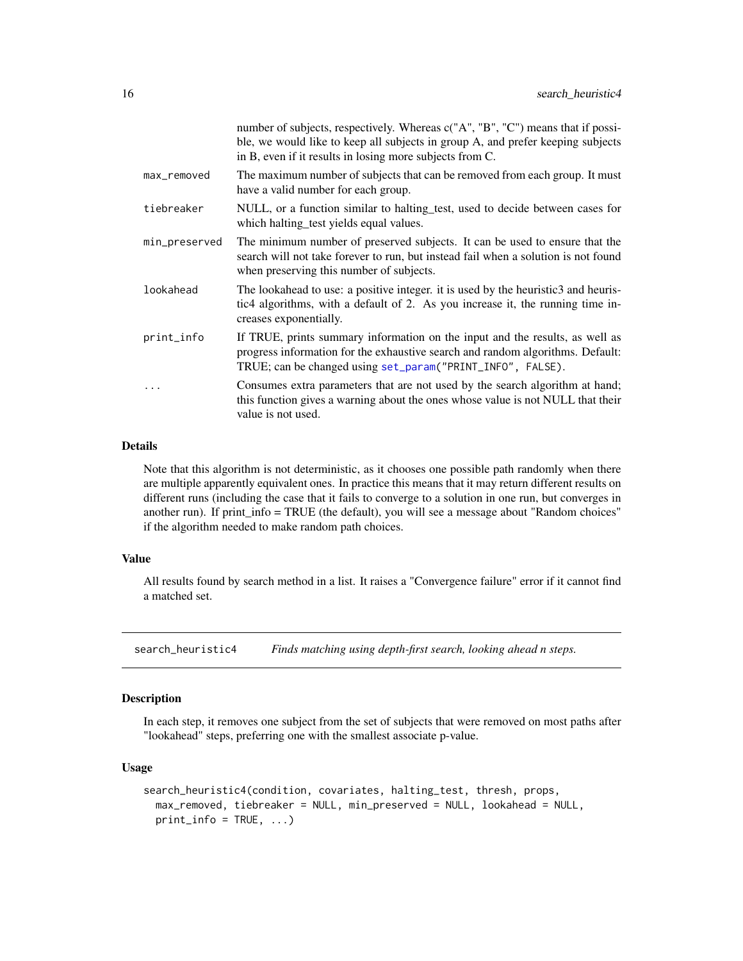<span id="page-15-0"></span>

|               | number of subjects, respectively. Whereas c("A", "B", "C") means that if possi-<br>ble, we would like to keep all subjects in group A, and prefer keeping subjects<br>in B, even if it results in losing more subjects from C. |
|---------------|--------------------------------------------------------------------------------------------------------------------------------------------------------------------------------------------------------------------------------|
| max_removed   | The maximum number of subjects that can be removed from each group. It must<br>have a valid number for each group.                                                                                                             |
| tiebreaker    | NULL, or a function similar to halting test, used to decide between cases for<br>which halting test yields equal values.                                                                                                       |
| min_preserved | The minimum number of preserved subjects. It can be used to ensure that the<br>search will not take forever to run, but instead fail when a solution is not found<br>when preserving this number of subjects.                  |
| lookahead     | The lookahead to use: a positive integer, it is used by the heuristic3 and heuris-<br>tic4 algorithms, with a default of 2. As you increase it, the running time in-<br>creases exponentially.                                 |
| print_info    | If TRUE, prints summary information on the input and the results, as well as<br>progress information for the exhaustive search and random algorithms. Default:<br>TRUE; can be changed using set_param("PRINT_INFO", FALSE).   |
|               | Consumes extra parameters that are not used by the search algorithm at hand;<br>this function gives a warning about the ones whose value is not NULL that their<br>value is not used.                                          |

#### Details

Note that this algorithm is not deterministic, as it chooses one possible path randomly when there are multiple apparently equivalent ones. In practice this means that it may return different results on different runs (including the case that it fails to converge to a solution in one run, but converges in another run). If print\_info = TRUE (the default), you will see a message about "Random choices" if the algorithm needed to make random path choices.

#### Value

All results found by search method in a list. It raises a "Convergence failure" error if it cannot find a matched set.

search\_heuristic4 *Finds matching using depth-first search, looking ahead n steps.*

#### Description

In each step, it removes one subject from the set of subjects that were removed on most paths after "lookahead" steps, preferring one with the smallest associate p-value.

#### Usage

```
search_heuristic4(condition, covariates, halting_test, thresh, props,
 max_removed, tiebreaker = NULL, min_preserved = NULL, lookahead = NULL,
 print_info = TRUE, ...)
```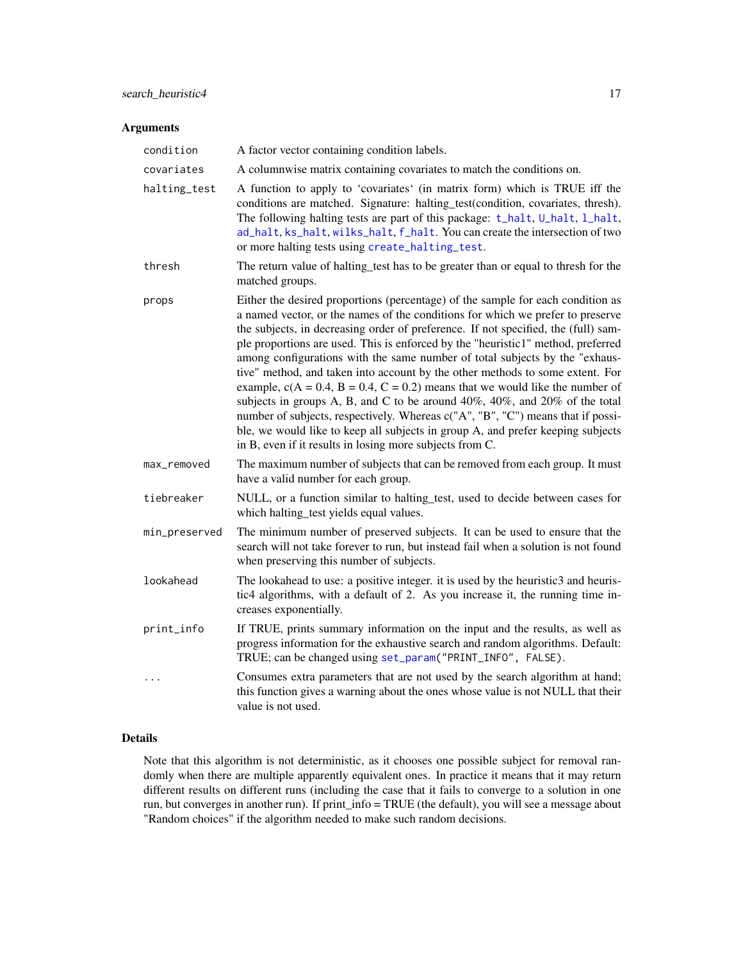#### <span id="page-16-0"></span>Arguments

| condition     | A factor vector containing condition labels.                                                                                                                                                                                                                                                                                                                                                                                                                                                                                                                                                                                                                                                                                                                                                                                                                                                                  |
|---------------|---------------------------------------------------------------------------------------------------------------------------------------------------------------------------------------------------------------------------------------------------------------------------------------------------------------------------------------------------------------------------------------------------------------------------------------------------------------------------------------------------------------------------------------------------------------------------------------------------------------------------------------------------------------------------------------------------------------------------------------------------------------------------------------------------------------------------------------------------------------------------------------------------------------|
| covariates    | A columnwise matrix containing covariates to match the conditions on.                                                                                                                                                                                                                                                                                                                                                                                                                                                                                                                                                                                                                                                                                                                                                                                                                                         |
| halting_test  | A function to apply to 'covariates' (in matrix form) which is TRUE iff the<br>conditions are matched. Signature: halting_test(condition, covariates, thresh).<br>The following halting tests are part of this package: t_halt, U_halt, l_halt,<br>ad_halt, ks_halt, wilks_halt, f_halt. You can create the intersection of two<br>or more halting tests using create_halting_test.                                                                                                                                                                                                                                                                                                                                                                                                                                                                                                                            |
| thresh        | The return value of halting_test has to be greater than or equal to thresh for the<br>matched groups.                                                                                                                                                                                                                                                                                                                                                                                                                                                                                                                                                                                                                                                                                                                                                                                                         |
| props         | Either the desired proportions (percentage) of the sample for each condition as<br>a named vector, or the names of the conditions for which we prefer to preserve<br>the subjects, in decreasing order of preference. If not specified, the (full) sam-<br>ple proportions are used. This is enforced by the "heuristic1" method, preferred<br>among configurations with the same number of total subjects by the "exhaus-<br>tive" method, and taken into account by the other methods to some extent. For<br>example, $c(A = 0.4, B = 0.4, C = 0.2)$ means that we would like the number of<br>subjects in groups A, B, and C to be around 40%, 40%, and 20% of the total<br>number of subjects, respectively. Whereas c("A", "B", "C") means that if possi-<br>ble, we would like to keep all subjects in group A, and prefer keeping subjects<br>in B, even if it results in losing more subjects from C. |
| max_removed   | The maximum number of subjects that can be removed from each group. It must<br>have a valid number for each group.                                                                                                                                                                                                                                                                                                                                                                                                                                                                                                                                                                                                                                                                                                                                                                                            |
| tiebreaker    | NULL, or a function similar to halting_test, used to decide between cases for<br>which halting_test yields equal values.                                                                                                                                                                                                                                                                                                                                                                                                                                                                                                                                                                                                                                                                                                                                                                                      |
| min_preserved | The minimum number of preserved subjects. It can be used to ensure that the<br>search will not take forever to run, but instead fail when a solution is not found<br>when preserving this number of subjects.                                                                                                                                                                                                                                                                                                                                                                                                                                                                                                                                                                                                                                                                                                 |
| lookahead     | The lookahead to use: a positive integer. it is used by the heuristic3 and heuris-<br>tic4 algorithms, with a default of 2. As you increase it, the running time in-<br>creases exponentially.                                                                                                                                                                                                                                                                                                                                                                                                                                                                                                                                                                                                                                                                                                                |
| print_info    | If TRUE, prints summary information on the input and the results, as well as<br>progress information for the exhaustive search and random algorithms. Default:<br>TRUE; can be changed using set_param("PRINT_INFO", FALSE).                                                                                                                                                                                                                                                                                                                                                                                                                                                                                                                                                                                                                                                                                  |
| $\cdots$      | Consumes extra parameters that are not used by the search algorithm at hand;<br>this function gives a warning about the ones whose value is not NULL that their<br>value is not used.                                                                                                                                                                                                                                                                                                                                                                                                                                                                                                                                                                                                                                                                                                                         |

#### Details

Note that this algorithm is not deterministic, as it chooses one possible subject for removal randomly when there are multiple apparently equivalent ones. In practice it means that it may return different results on different runs (including the case that it fails to converge to a solution in one run, but converges in another run). If print\_info = TRUE (the default), you will see a message about "Random choices" if the algorithm needed to make such random decisions.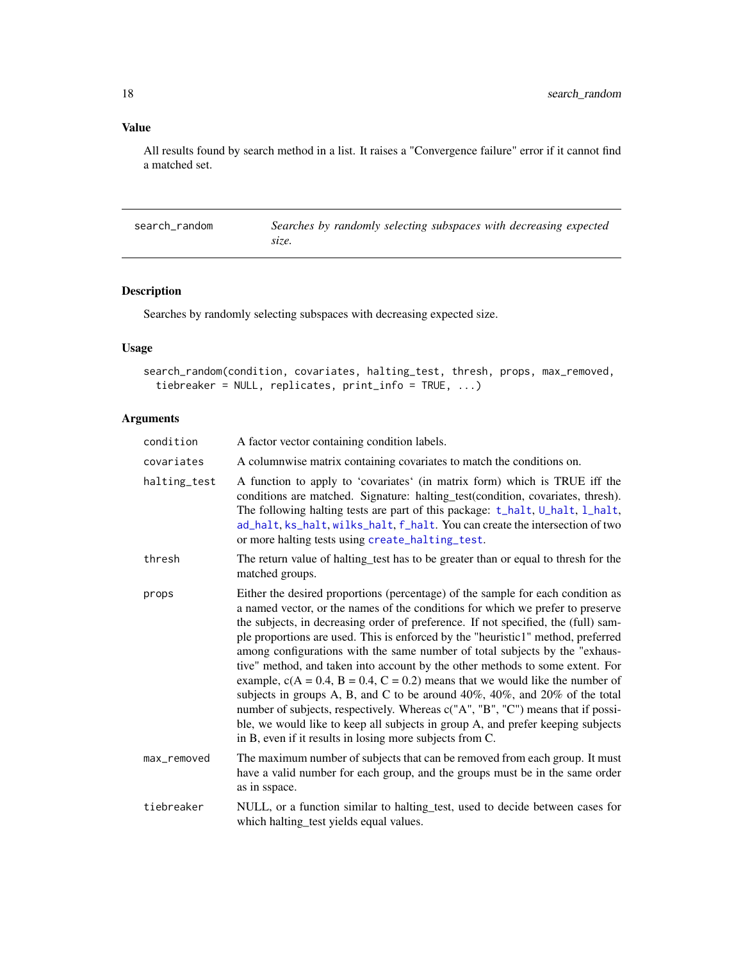All results found by search method in a list. It raises a "Convergence failure" error if it cannot find a matched set.

search\_random *Searches by randomly selecting subspaces with decreasing expected size.*

## Description

Searches by randomly selecting subspaces with decreasing expected size.

#### Usage

```
search_random(condition, covariates, halting_test, thresh, props, max_removed,
 tiebreaker = NULL, replicates, print_info = TRUE, ...)
```

| condition    | A factor vector containing condition labels.                                                                                                                                                                                                                                                                                                                                                                                                                                                                                                                                                                                                                                                                                                                                                                                                                                                                             |
|--------------|--------------------------------------------------------------------------------------------------------------------------------------------------------------------------------------------------------------------------------------------------------------------------------------------------------------------------------------------------------------------------------------------------------------------------------------------------------------------------------------------------------------------------------------------------------------------------------------------------------------------------------------------------------------------------------------------------------------------------------------------------------------------------------------------------------------------------------------------------------------------------------------------------------------------------|
| covariates   | A columnwise matrix containing covariates to match the conditions on.                                                                                                                                                                                                                                                                                                                                                                                                                                                                                                                                                                                                                                                                                                                                                                                                                                                    |
| halting_test | A function to apply to 'covariates' (in matrix form) which is TRUE iff the<br>conditions are matched. Signature: halting_test(condition, covariates, thresh).<br>The following halting tests are part of this package: t_halt, U_halt, l_halt,<br>ad_halt, ks_halt, wilks_halt, f_halt. You can create the intersection of two<br>or more halting tests using create_halting_test.                                                                                                                                                                                                                                                                                                                                                                                                                                                                                                                                       |
| thresh       | The return value of halting test has to be greater than or equal to thresh for the<br>matched groups.                                                                                                                                                                                                                                                                                                                                                                                                                                                                                                                                                                                                                                                                                                                                                                                                                    |
| props        | Either the desired proportions (percentage) of the sample for each condition as<br>a named vector, or the names of the conditions for which we prefer to preserve<br>the subjects, in decreasing order of preference. If not specified, the (full) sam-<br>ple proportions are used. This is enforced by the "heuristic1" method, preferred<br>among configurations with the same number of total subjects by the "exhaus-<br>tive" method, and taken into account by the other methods to some extent. For<br>example, $c(A = 0.4, B = 0.4, C = 0.2)$ means that we would like the number of<br>subjects in groups A, B, and C to be around $40\%$ , $40\%$ , and $20\%$ of the total<br>number of subjects, respectively. Whereas c("A", "B", "C") means that if possi-<br>ble, we would like to keep all subjects in group A, and prefer keeping subjects<br>in B, even if it results in losing more subjects from C. |
| max_removed  | The maximum number of subjects that can be removed from each group. It must<br>have a valid number for each group, and the groups must be in the same order<br>as in sspace.                                                                                                                                                                                                                                                                                                                                                                                                                                                                                                                                                                                                                                                                                                                                             |
| tiebreaker   | NULL, or a function similar to halting_test, used to decide between cases for<br>which halting_test yields equal values.                                                                                                                                                                                                                                                                                                                                                                                                                                                                                                                                                                                                                                                                                                                                                                                                 |

<span id="page-17-0"></span>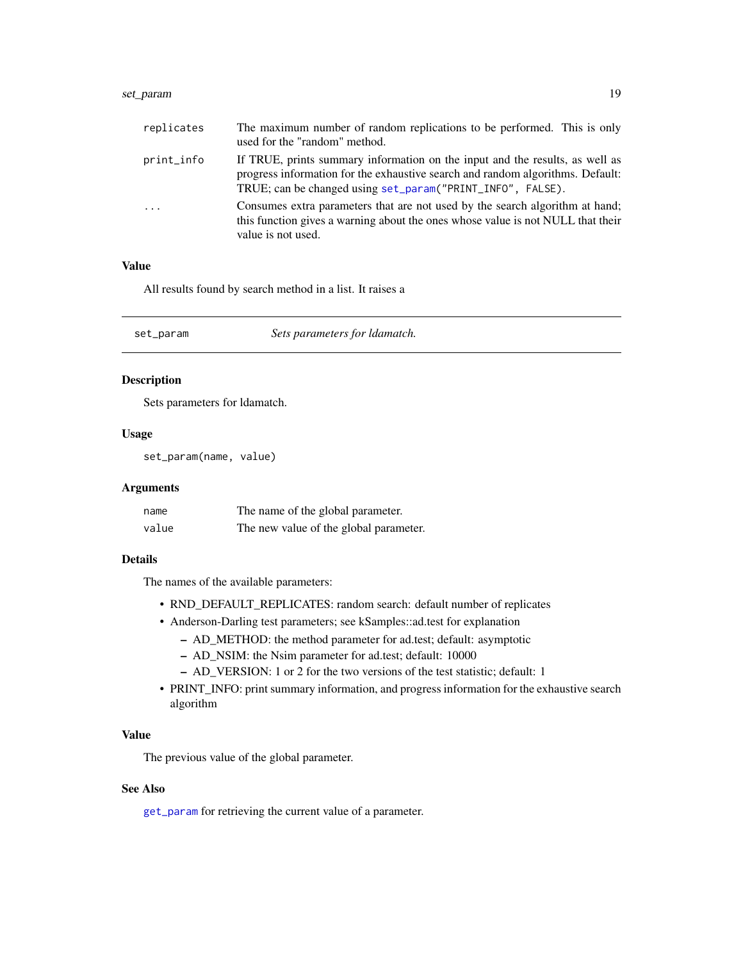## <span id="page-18-0"></span>set\_param 19

| replicates | The maximum number of random replications to be performed. This is only<br>used for the "random" method.                                                                                                                     |
|------------|------------------------------------------------------------------------------------------------------------------------------------------------------------------------------------------------------------------------------|
| print_info | If TRUE, prints summary information on the input and the results, as well as<br>progress information for the exhaustive search and random algorithms. Default:<br>TRUE; can be changed using set_param("PRINT_INFO", FALSE). |
| $\cdots$   | Consumes extra parameters that are not used by the search algorithm at hand;<br>this function gives a warning about the ones whose value is not NULL that their<br>value is not used.                                        |

#### Value

All results found by search method in a list. It raises a

<span id="page-18-1"></span>set\_param *Sets parameters for ldamatch.*

#### Description

Sets parameters for ldamatch.

#### Usage

set\_param(name, value)

#### Arguments

| name  | The name of the global parameter.      |
|-------|----------------------------------------|
| value | The new value of the global parameter. |

#### Details

The names of the available parameters:

- RND\_DEFAULT\_REPLICATES: random search: default number of replicates
- Anderson-Darling test parameters; see kSamples::ad.test for explanation
	- AD\_METHOD: the method parameter for ad.test; default: asymptotic
	- AD\_NSIM: the Nsim parameter for ad.test; default: 10000
	- AD\_VERSION: 1 or 2 for the two versions of the test statistic; default: 1
- PRINT\_INFO: print summary information, and progress information for the exhaustive search algorithm

#### Value

The previous value of the global parameter.

## See Also

[get\\_param](#page-7-2) for retrieving the current value of a parameter.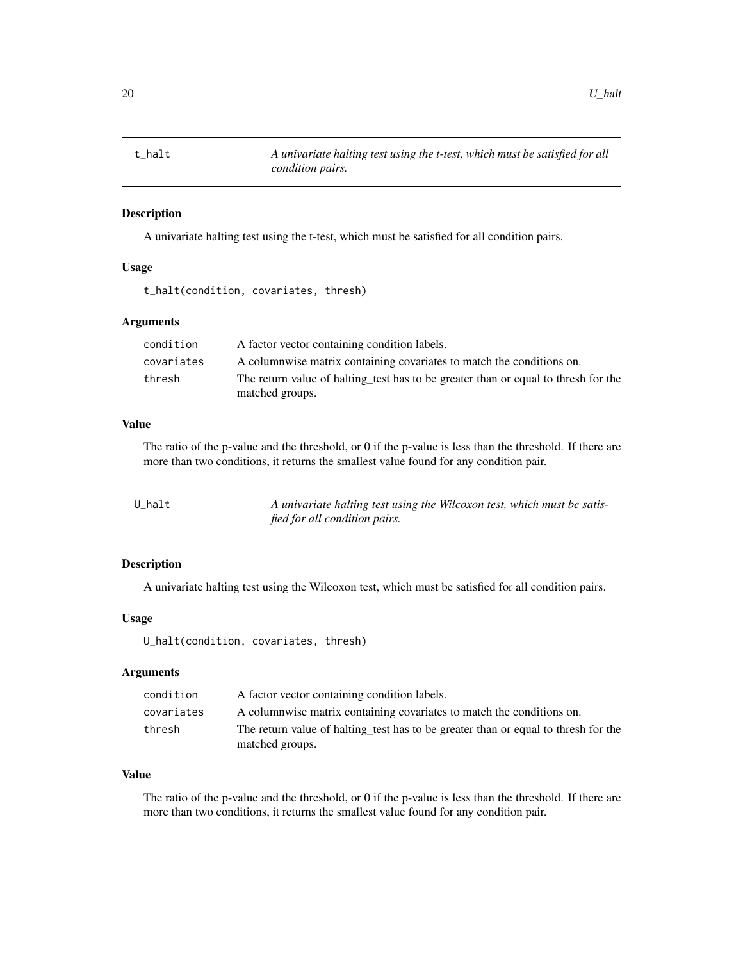<span id="page-19-1"></span><span id="page-19-0"></span>

A univariate halting test using the t-test, which must be satisfied for all condition pairs.

## Usage

```
t_halt(condition, covariates, thresh)
```
#### Arguments

| condition  | A factor vector containing condition labels.                                       |
|------------|------------------------------------------------------------------------------------|
| covariates | A columnwise matrix containing covariates to match the conditions on.              |
| thresh     | The return value of halting test has to be greater than or equal to thresh for the |
|            | matched groups.                                                                    |

## Value

The ratio of the p-value and the threshold, or 0 if the p-value is less than the threshold. If there are more than two conditions, it returns the smallest value found for any condition pair.

<span id="page-19-2"></span>

| U halt | A univariate halting test using the Wilcoxon test, which must be satis- |
|--------|-------------------------------------------------------------------------|
|        | fied for all condition pairs.                                           |

#### Description

A univariate halting test using the Wilcoxon test, which must be satisfied for all condition pairs.

#### Usage

U\_halt(condition, covariates, thresh)

## Arguments

| condition  | A factor vector containing condition labels.                                                          |
|------------|-------------------------------------------------------------------------------------------------------|
| covariates | A columnwise matrix containing covariates to match the conditions on.                                 |
| thresh     | The return value of halting test has to be greater than or equal to thresh for the<br>matched groups. |

## Value

The ratio of the p-value and the threshold, or 0 if the p-value is less than the threshold. If there are more than two conditions, it returns the smallest value found for any condition pair.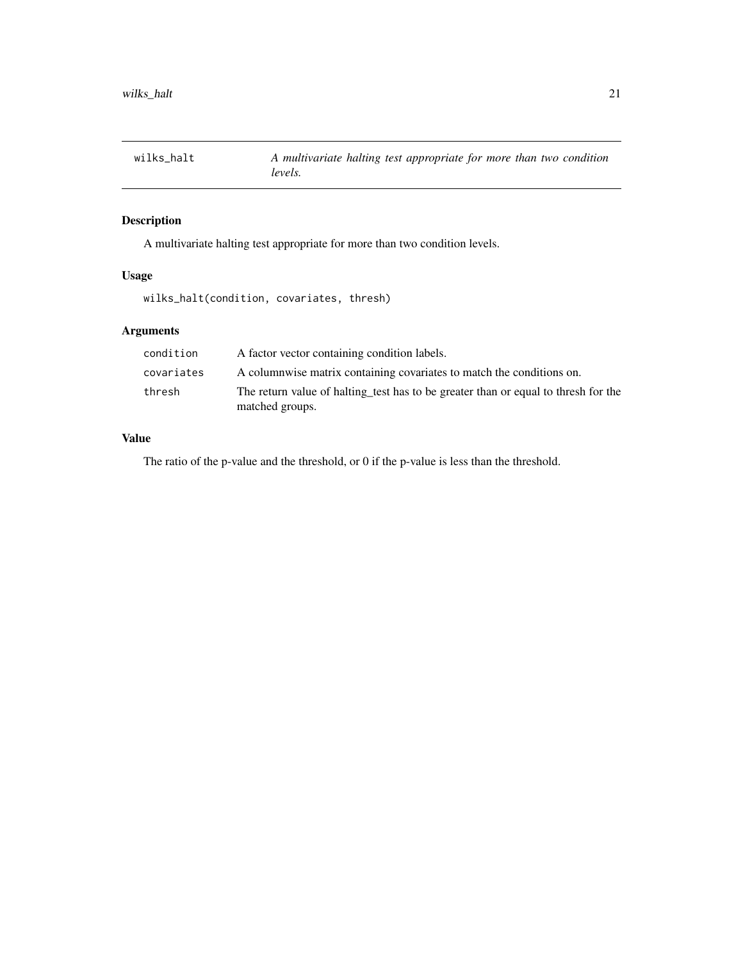<span id="page-20-1"></span><span id="page-20-0"></span>

A multivariate halting test appropriate for more than two condition levels.

## Usage

wilks\_halt(condition, covariates, thresh)

## Arguments

| condition  | A factor vector containing condition labels.                                                          |
|------------|-------------------------------------------------------------------------------------------------------|
| covariates | A columnwise matrix containing covariates to match the conditions on.                                 |
| thresh     | The return value of halting test has to be greater than or equal to thresh for the<br>matched groups. |

#### Value

The ratio of the p-value and the threshold, or 0 if the p-value is less than the threshold.